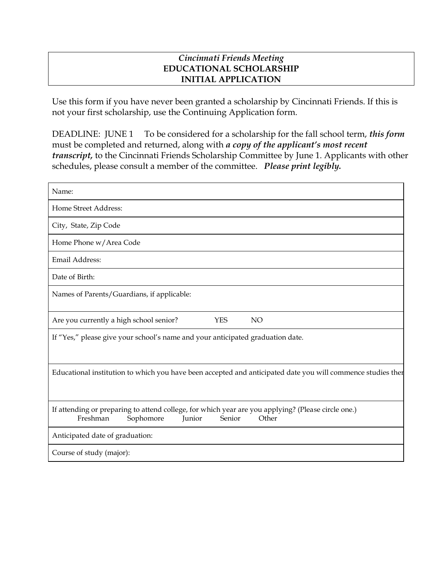## *Cincinnati Friends Meeting*  **EDUCATIONAL SCHOLARSHIP INITIAL APPLICATION**

Use this form if you have never been granted a scholarship by Cincinnati Friends. If this is not your first scholarship, use the Continuing Application form.

DEADLINE: JUNE 1 To be considered for a scholarship for the fall school term, *this form* must be completed and returned, along with *a copy of the applicant's most recent transcript,* to the Cincinnati Friends Scholarship Committee by June 1. Applicants with other schedules, please consult a member of the committee. *Please print legibly.*

| Name:                                                                                                                                                    |
|----------------------------------------------------------------------------------------------------------------------------------------------------------|
| Home Street Address:                                                                                                                                     |
| City, State, Zip Code                                                                                                                                    |
| Home Phone w/Area Code                                                                                                                                   |
| Email Address:                                                                                                                                           |
| Date of Birth:                                                                                                                                           |
| Names of Parents/Guardians, if applicable:                                                                                                               |
| <b>YES</b><br><b>NO</b><br>Are you currently a high school senior?                                                                                       |
| If "Yes," please give your school's name and your anticipated graduation date.                                                                           |
| Educational institution to which you have been accepted and anticipated date you will commence studies ther                                              |
| If attending or preparing to attend college, for which year are you applying? (Please circle one.)<br>Freshman<br>Other<br>Sophomore<br>Senior<br>Junior |
| Anticipated date of graduation:                                                                                                                          |
| Course of study (major):                                                                                                                                 |